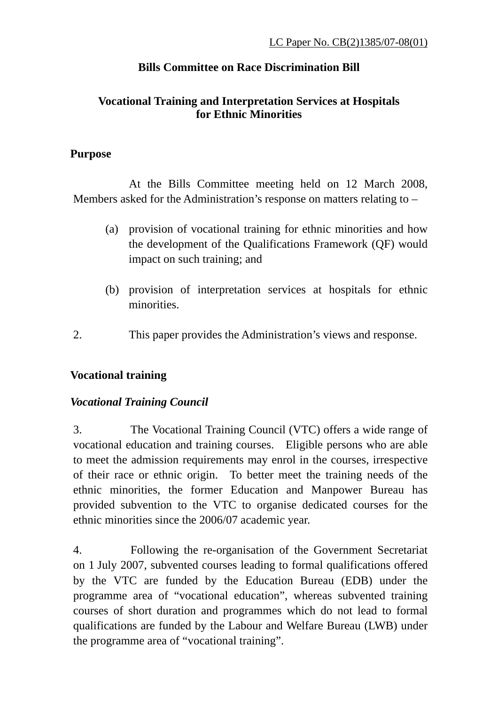## **Bills Committee on Race Discrimination Bill**

### **Vocational Training and Interpretation Services at Hospitals for Ethnic Minorities**

#### **Purpose**

 At the Bills Committee meeting held on 12 March 2008, Members asked for the Administration's response on matters relating to –

- (a) provision of vocational training for ethnic minorities and how the development of the Qualifications Framework (QF) would impact on such training; and
- (b) provision of interpretation services at hospitals for ethnic minorities.
- 2. This paper provides the Administration's views and response.

### **Vocational training**

### *Vocational Training Council*

3. The Vocational Training Council (VTC) offers a wide range of vocational education and training courses. Eligible persons who are able to meet the admission requirements may enrol in the courses, irrespective of their race or ethnic origin. To better meet the training needs of the ethnic minorities, the former Education and Manpower Bureau has provided subvention to the VTC to organise dedicated courses for the ethnic minorities since the 2006/07 academic year.

4. Following the re-organisation of the Government Secretariat on 1 July 2007, subvented courses leading to formal qualifications offered by the VTC are funded by the Education Bureau (EDB) under the programme area of "vocational education", whereas subvented training courses of short duration and programmes which do not lead to formal qualifications are funded by the Labour and Welfare Bureau (LWB) under the programme area of "vocational training".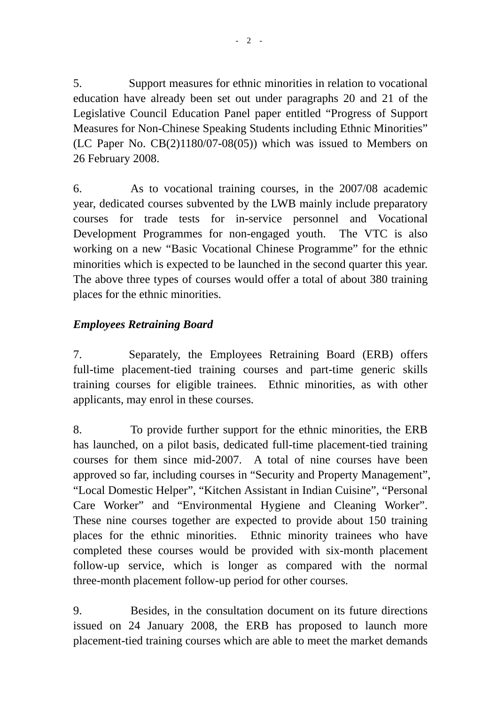5. Support measures for ethnic minorities in relation to vocational education have already been set out under paragraphs 20 and 21 of the Legislative Council Education Panel paper entitled "Progress of Support Measures for Non-Chinese Speaking Students including Ethnic Minorities" (LC Paper No. CB(2)1180/07-08(05)) which was issued to Members on 26 February 2008.

6. As to vocational training courses, in the 2007/08 academic year, dedicated courses subvented by the LWB mainly include preparatory courses for trade tests for in-service personnel and Vocational Development Programmes for non-engaged youth. The VTC is also working on a new "Basic Vocational Chinese Programme" for the ethnic minorities which is expected to be launched in the second quarter this year. The above three types of courses would offer a total of about 380 training places for the ethnic minorities.

# *Employees Retraining Board*

7. Separately, the Employees Retraining Board (ERB) offers full-time placement-tied training courses and part-time generic skills training courses for eligible trainees. Ethnic minorities, as with other applicants, may enrol in these courses.

8. To provide further support for the ethnic minorities, the ERB has launched, on a pilot basis, dedicated full-time placement-tied training courses for them since mid-2007. A total of nine courses have been approved so far, including courses in "Security and Property Management", "Local Domestic Helper", "Kitchen Assistant in Indian Cuisine", "Personal Care Worker" and "Environmental Hygiene and Cleaning Worker". These nine courses together are expected to provide about 150 training places for the ethnic minorities. Ethnic minority trainees who have completed these courses would be provided with six-month placement follow-up service, which is longer as compared with the normal three-month placement follow-up period for other courses.

9. Besides, in the consultation document on its future directions issued on 24 January 2008, the ERB has proposed to launch more placement-tied training courses which are able to meet the market demands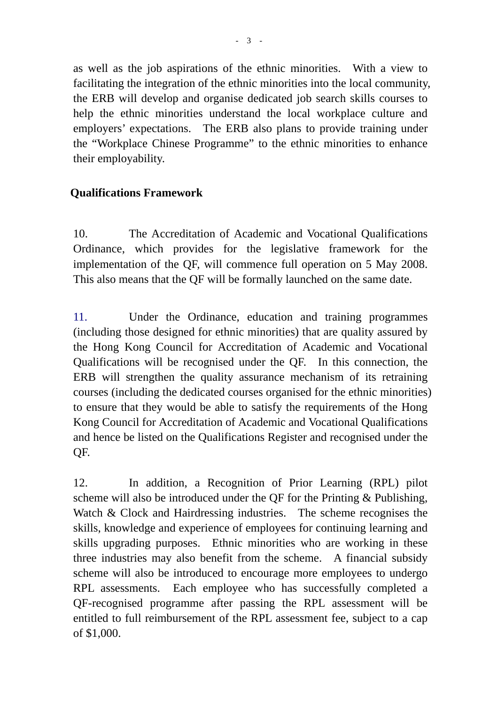as well as the job aspirations of the ethnic minorities. With a view to facilitating the integration of the ethnic minorities into the local community, the ERB will develop and organise dedicated job search skills courses to help the ethnic minorities understand the local workplace culture and employers' expectations. The ERB also plans to provide training under the "Workplace Chinese Programme" to the ethnic minorities to enhance their employability.

### **Qualifications Framework**

10. The Accreditation of Academic and Vocational Qualifications Ordinance, which provides for the legislative framework for the implementation of the QF, will commence full operation on 5 May 2008. This also means that the QF will be formally launched on the same date.

11. Under the Ordinance, education and training programmes (including those designed for ethnic minorities) that are quality assured by the Hong Kong Council for Accreditation of Academic and Vocational Qualifications will be recognised under the QF. In this connection, the ERB will strengthen the quality assurance mechanism of its retraining courses (including the dedicated courses organised for the ethnic minorities) to ensure that they would be able to satisfy the requirements of the Hong Kong Council for Accreditation of Academic and Vocational Qualifications and hence be listed on the Qualifications Register and recognised under the QF.

12. In addition, a Recognition of Prior Learning (RPL) pilot scheme will also be introduced under the QF for the Printing & Publishing, Watch & Clock and Hairdressing industries. The scheme recognises the skills, knowledge and experience of employees for continuing learning and skills upgrading purposes. Ethnic minorities who are working in these three industries may also benefit from the scheme. A financial subsidy scheme will also be introduced to encourage more employees to undergo RPL assessments. Each employee who has successfully completed a QF-recognised programme after passing the RPL assessment will be entitled to full reimbursement of the RPL assessment fee, subject to a cap of \$1,000.